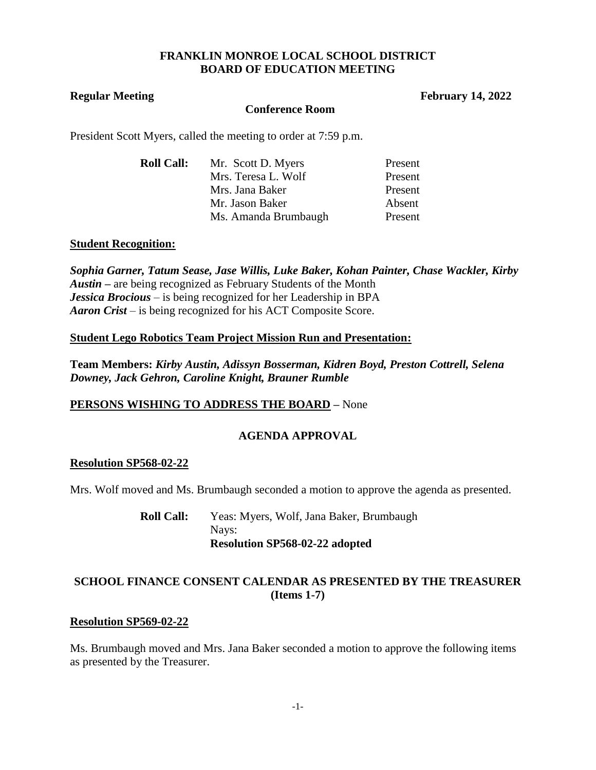## **FRANKLIN MONROE LOCAL SCHOOL DISTRICT BOARD OF EDUCATION MEETING**

**Regular Meeting February 14, 2022** 

### **Conference Room**

President Scott Myers, called the meeting to order at 7:59 p.m.

| <b>Roll Call:</b> | Mr. Scott D. Myers   | Present |
|-------------------|----------------------|---------|
|                   | Mrs. Teresa L. Wolf  | Present |
|                   | Mrs. Jana Baker      | Present |
|                   | Mr. Jason Baker      | Absent  |
|                   | Ms. Amanda Brumbaugh | Present |

## **Student Recognition:**

*Sophia Garner, Tatum Sease, Jase Willis, Luke Baker, Kohan Painter, Chase Wackler, Kirby Austin –* are being recognized as February Students of the Month *Jessica Brocious* – is being recognized for her Leadership in BPA *Aaron Crist* – is being recognized for his ACT Composite Score.

## **Student Lego Robotics Team Project Mission Run and Presentation:**

**Team Members:** *Kirby Austin, Adissyn Bosserman, Kidren Boyd, Preston Cottrell, Selena Downey, Jack Gehron, Caroline Knight, Brauner Rumble*

# **PERSONS WISHING TO ADDRESS THE BOARD –** None

# **AGENDA APPROVAL**

## **Resolution SP568-02-22**

Mrs. Wolf moved and Ms. Brumbaugh seconded a motion to approve the agenda as presented.

**Roll Call:** Yeas: Myers, Wolf, Jana Baker, Brumbaugh Nays: **Resolution SP568-02-22 adopted**

# **SCHOOL FINANCE CONSENT CALENDAR AS PRESENTED BY THE TREASURER (Items 1-7)**

#### **Resolution SP569-02-22**

Ms. Brumbaugh moved and Mrs. Jana Baker seconded a motion to approve the following items as presented by the Treasurer.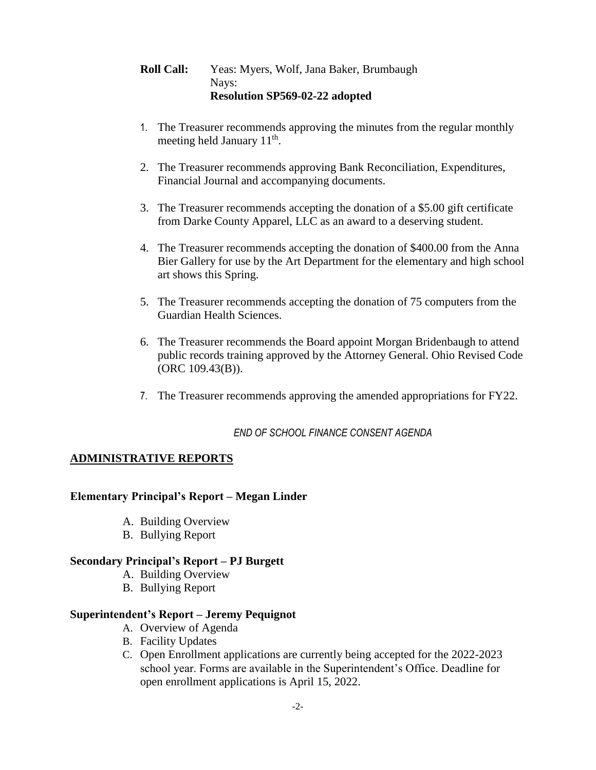# **Roll Call:** Yeas: Myers, Wolf, Jana Baker, Brumbaugh Nays: **Resolution SP569-02-22 adopted**

- 1. The Treasurer recommends approving the minutes from the regular monthly meeting held January 11<sup>th</sup>.
- 2. The Treasurer recommends approving Bank Reconciliation, Expenditures, Financial Journal and accompanying documents.
- 3. The Treasurer recommends accepting the donation of a \$5.00 gift certificate from Darke County Apparel, LLC as an award to a deserving student.
- 4. The Treasurer recommends accepting the donation of \$400.00 from the Anna Bier Gallery for use by the Art Department for the elementary and high school art shows this Spring.
- 5. The Treasurer recommends accepting the donation of 75 computers from the Guardian Health Sciences.
- 6. The Treasurer recommends the Board appoint Morgan Bridenbaugh to attend public records training approved by the Attorney General. Ohio Revised Code (ORC 109.43(B)).
- 7. The Treasurer recommends approving the amended appropriations for FY22.

*END OF SCHOOL FINANCE CONSENT AGENDA*

## **ADMINISTRATIVE REPORTS**

#### **Elementary Principal's Report – Megan Linder**

- A. Building Overview
- B. Bullying Report

#### **Secondary Principal's Report – PJ Burgett**

- A. Building Overview
- B. Bullying Report

### **Superintendent's Report – Jeremy Pequignot**

- A. Overview of Agenda
- B. Facility Updates
- C. Open Enrollment applications are currently being accepted for the 2022-2023 school year. Forms are available in the Superintendent's Office. Deadline for open enrollment applications is April 15, 2022.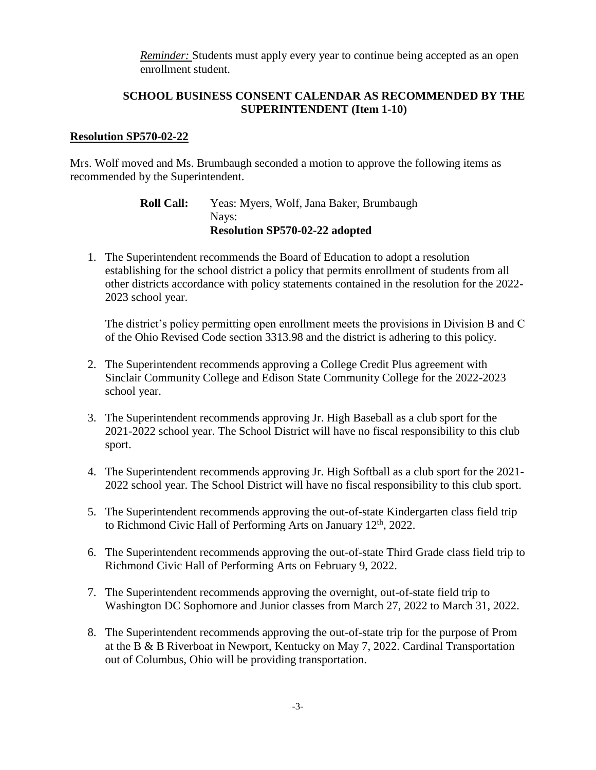*Reminder:* Students must apply every year to continue being accepted as an open enrollment student.

## **SCHOOL BUSINESS CONSENT CALENDAR AS RECOMMENDED BY THE SUPERINTENDENT (Item 1-10)**

#### **Resolution SP570-02-22**

Mrs. Wolf moved and Ms. Brumbaugh seconded a motion to approve the following items as recommended by the Superintendent.

> **Roll Call:** Yeas: Myers, Wolf, Jana Baker, Brumbaugh Nays: **Resolution SP570-02-22 adopted**

1. The Superintendent recommends the Board of Education to adopt a resolution establishing for the school district a policy that permits enrollment of students from all other districts accordance with policy statements contained in the resolution for the 2022- 2023 school year.

The district's policy permitting open enrollment meets the provisions in Division B and C of the Ohio Revised Code section 3313.98 and the district is adhering to this policy.

- 2. The Superintendent recommends approving a College Credit Plus agreement with Sinclair Community College and Edison State Community College for the 2022-2023 school year.
- 3. The Superintendent recommends approving Jr. High Baseball as a club sport for the 2021-2022 school year. The School District will have no fiscal responsibility to this club sport.
- 4. The Superintendent recommends approving Jr. High Softball as a club sport for the 2021- 2022 school year. The School District will have no fiscal responsibility to this club sport.
- 5. The Superintendent recommends approving the out-of-state Kindergarten class field trip to Richmond Civic Hall of Performing Arts on January  $12<sup>th</sup>$ , 2022.
- 6. The Superintendent recommends approving the out-of-state Third Grade class field trip to Richmond Civic Hall of Performing Arts on February 9, 2022.
- 7. The Superintendent recommends approving the overnight, out-of-state field trip to Washington DC Sophomore and Junior classes from March 27, 2022 to March 31, 2022.
- 8. The Superintendent recommends approving the out-of-state trip for the purpose of Prom at the B & B Riverboat in Newport, Kentucky on May 7, 2022. Cardinal Transportation out of Columbus, Ohio will be providing transportation.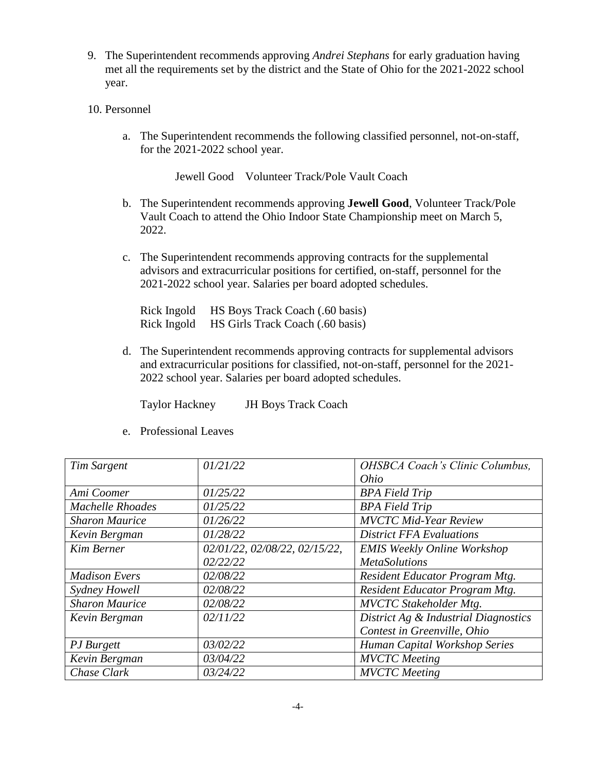- 9. The Superintendent recommends approving *Andrei Stephans* for early graduation having met all the requirements set by the district and the State of Ohio for the 2021-2022 school year.
- 10. Personnel
	- a. The Superintendent recommends the following classified personnel, not-on-staff, for the 2021-2022 school year.

Jewell Good Volunteer Track/Pole Vault Coach

- b. The Superintendent recommends approving **Jewell Good**, Volunteer Track/Pole Vault Coach to attend the Ohio Indoor State Championship meet on March 5, 2022.
- c. The Superintendent recommends approving contracts for the supplemental advisors and extracurricular positions for certified, on-staff, personnel for the 2021-2022 school year. Salaries per board adopted schedules.

Rick Ingold HS Boys Track Coach (.60 basis) Rick Ingold HS Girls Track Coach (.60 basis)

d. The Superintendent recommends approving contracts for supplemental advisors and extracurricular positions for classified, not-on-staff, personnel for the 2021- 2022 school year. Salaries per board adopted schedules.

Taylor Hackney JH Boys Track Coach

| Tim Sargent             | 01/21/22                      | OHSBCA Coach's Clinic Columbus,      |
|-------------------------|-------------------------------|--------------------------------------|
|                         |                               | Ohio                                 |
| Ami Coomer              | 01/25/22                      | <b>BPA Field Trip</b>                |
| <b>Machelle Rhoades</b> | 01/25/22                      | <b>BPA Field Trip</b>                |
| <b>Sharon Maurice</b>   | 01/26/22                      | <b>MVCTC Mid-Year Review</b>         |
| Kevin Bergman           | 01/28/22                      | <b>District FFA Evaluations</b>      |
| <b>Kim Berner</b>       | 02/01/22, 02/08/22, 02/15/22, | <b>EMIS Weekly Online Workshop</b>   |
|                         | 02/22/22                      | <b>MetaSolutions</b>                 |
| <b>Madison Evers</b>    | 02/08/22                      | Resident Educator Program Mtg.       |
| Sydney Howell           | 02/08/22                      | Resident Educator Program Mtg.       |
| <b>Sharon Maurice</b>   | 02/08/22                      | <b>MVCTC</b> Stakeholder Mtg.        |
| Kevin Bergman           | 02/11/22                      | District Ag & Industrial Diagnostics |
|                         |                               | Contest in Greenville, Ohio          |
| PJ Burgett              | 03/02/22                      | Human Capital Workshop Series        |
| Kevin Bergman           | 03/04/22                      | <b>MVCTC</b> Meeting                 |
| Chase Clark             | 03/24/22                      | <b>MVCTC</b> Meeting                 |

e. Professional Leaves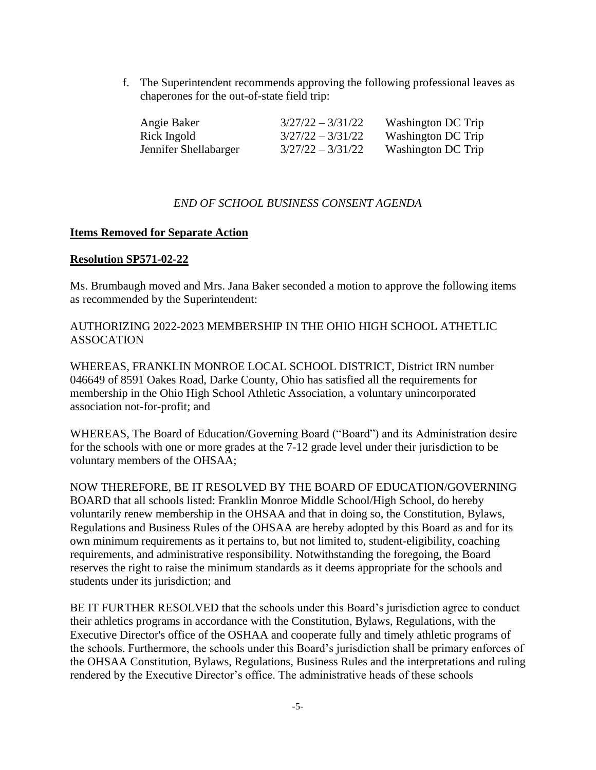f. The Superintendent recommends approving the following professional leaves as chaperones for the out-of-state field trip:

| Angie Baker           | $3/27/22 - 3/31/22$ | Washington DC Trip |
|-----------------------|---------------------|--------------------|
| Rick Ingold           | $3/27/22 - 3/31/22$ | Washington DC Trip |
| Jennifer Shellabarger | $3/27/22 - 3/31/22$ | Washington DC Trip |

## *END OF SCHOOL BUSINESS CONSENT AGENDA*

#### **Items Removed for Separate Action**

#### **Resolution SP571-02-22**

Ms. Brumbaugh moved and Mrs. Jana Baker seconded a motion to approve the following items as recommended by the Superintendent:

AUTHORIZING 2022-2023 MEMBERSHIP IN THE OHIO HIGH SCHOOL ATHETLIC ASSOCATION

WHEREAS, FRANKLIN MONROE LOCAL SCHOOL DISTRICT, District IRN number 046649 of 8591 Oakes Road, Darke County, Ohio has satisfied all the requirements for membership in the Ohio High School Athletic Association, a voluntary unincorporated association not-for-profit; and

WHEREAS, The Board of Education/Governing Board ("Board") and its Administration desire for the schools with one or more grades at the 7-12 grade level under their jurisdiction to be voluntary members of the OHSAA;

NOW THEREFORE, BE IT RESOLVED BY THE BOARD OF EDUCATION/GOVERNING BOARD that all schools listed: Franklin Monroe Middle School/High School, do hereby voluntarily renew membership in the OHSAA and that in doing so, the Constitution, Bylaws, Regulations and Business Rules of the OHSAA are hereby adopted by this Board as and for its own minimum requirements as it pertains to, but not limited to, student-eligibility, coaching requirements, and administrative responsibility. Notwithstanding the foregoing, the Board reserves the right to raise the minimum standards as it deems appropriate for the schools and students under its jurisdiction; and

BE IT FURTHER RESOLVED that the schools under this Board's jurisdiction agree to conduct their athletics programs in accordance with the Constitution, Bylaws, Regulations, with the Executive Director's office of the OSHAA and cooperate fully and timely athletic programs of the schools. Furthermore, the schools under this Board's jurisdiction shall be primary enforces of the OHSAA Constitution, Bylaws, Regulations, Business Rules and the interpretations and ruling rendered by the Executive Director's office. The administrative heads of these schools